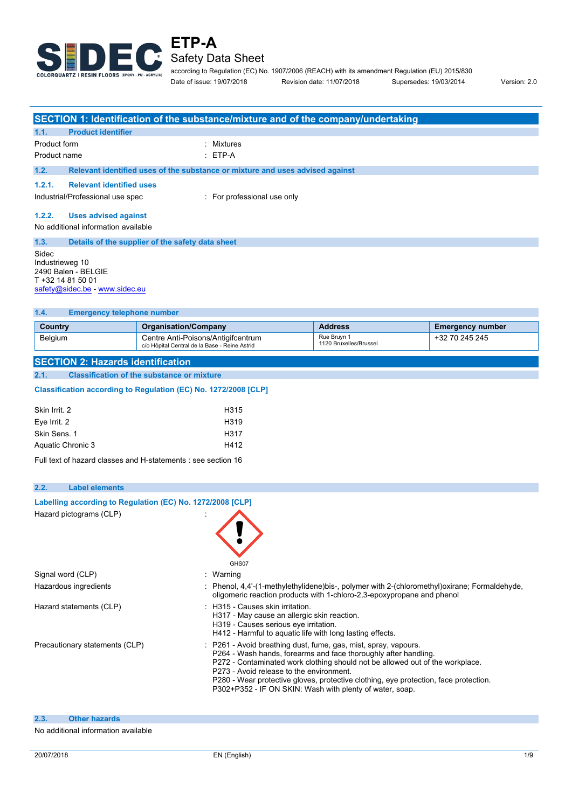

Safety Data Sheet

according to Regulation (EC) No. 1907/2006 (REACH) with its amendment Regulation (EU) 2015/830 Date of issue: 19/07/2018 Revision date: 11/07/2018 Supersedes: 19/03/2014 Version: 2.0

|                                                                                                                |                                                   | SECTION 1: Identification of the substance/mixture and of the company/undertaking                                                                                                                                                                                                                                                                                                                                 |                                       |                                                                                            |  |
|----------------------------------------------------------------------------------------------------------------|---------------------------------------------------|-------------------------------------------------------------------------------------------------------------------------------------------------------------------------------------------------------------------------------------------------------------------------------------------------------------------------------------------------------------------------------------------------------------------|---------------------------------------|--------------------------------------------------------------------------------------------|--|
| <b>Product identifier</b><br>1.1.                                                                              |                                                   |                                                                                                                                                                                                                                                                                                                                                                                                                   |                                       |                                                                                            |  |
| Product form                                                                                                   |                                                   | : Mixtures                                                                                                                                                                                                                                                                                                                                                                                                        |                                       |                                                                                            |  |
| Product name                                                                                                   |                                                   | $ETP-A$                                                                                                                                                                                                                                                                                                                                                                                                           |                                       |                                                                                            |  |
| 1.2.                                                                                                           |                                                   | Relevant identified uses of the substance or mixture and uses advised against                                                                                                                                                                                                                                                                                                                                     |                                       |                                                                                            |  |
| 1.2.1.<br><b>Relevant identified uses</b>                                                                      |                                                   |                                                                                                                                                                                                                                                                                                                                                                                                                   |                                       |                                                                                            |  |
| Industrial/Professional use spec                                                                               |                                                   | : For professional use only                                                                                                                                                                                                                                                                                                                                                                                       |                                       |                                                                                            |  |
|                                                                                                                |                                                   |                                                                                                                                                                                                                                                                                                                                                                                                                   |                                       |                                                                                            |  |
| 1.2.2.<br><b>Uses advised against</b><br>No additional information available                                   |                                                   |                                                                                                                                                                                                                                                                                                                                                                                                                   |                                       |                                                                                            |  |
|                                                                                                                |                                                   |                                                                                                                                                                                                                                                                                                                                                                                                                   |                                       |                                                                                            |  |
| 1.3.<br>Sidec<br>Industrieweg 10<br>2490 Balen - BELGIE<br>T +32 14 81 50 01<br>safety@sidec.be - www.sidec.eu | Details of the supplier of the safety data sheet  |                                                                                                                                                                                                                                                                                                                                                                                                                   |                                       |                                                                                            |  |
| 1.4.<br><b>Emergency telephone number</b>                                                                      |                                                   |                                                                                                                                                                                                                                                                                                                                                                                                                   |                                       |                                                                                            |  |
| <b>Country</b>                                                                                                 | <b>Organisation/Company</b>                       |                                                                                                                                                                                                                                                                                                                                                                                                                   | <b>Address</b>                        | <b>Emergency number</b>                                                                    |  |
| Belgium                                                                                                        | Centre Anti-Poisons/Antigifcentrum                |                                                                                                                                                                                                                                                                                                                                                                                                                   | Rue Bruyn 1<br>1120 Bruxelles/Brussel | +32 70 245 245                                                                             |  |
|                                                                                                                | c/o Hôpital Central de la Base - Reine Astrid     |                                                                                                                                                                                                                                                                                                                                                                                                                   |                                       |                                                                                            |  |
| <b>SECTION 2: Hazards identification</b>                                                                       |                                                   |                                                                                                                                                                                                                                                                                                                                                                                                                   |                                       |                                                                                            |  |
| 2.1.                                                                                                           | <b>Classification of the substance or mixture</b> |                                                                                                                                                                                                                                                                                                                                                                                                                   |                                       |                                                                                            |  |
| Classification according to Regulation (EC) No. 1272/2008 [CLP]                                                |                                                   |                                                                                                                                                                                                                                                                                                                                                                                                                   |                                       |                                                                                            |  |
| Skin Irrit. 2                                                                                                  |                                                   | H315                                                                                                                                                                                                                                                                                                                                                                                                              |                                       |                                                                                            |  |
| Eye Irrit. 2                                                                                                   |                                                   | H319                                                                                                                                                                                                                                                                                                                                                                                                              |                                       |                                                                                            |  |
| Skin Sens. 1                                                                                                   | H317                                              |                                                                                                                                                                                                                                                                                                                                                                                                                   |                                       |                                                                                            |  |
| Aquatic Chronic 3                                                                                              | H412                                              |                                                                                                                                                                                                                                                                                                                                                                                                                   |                                       |                                                                                            |  |
| Full text of hazard classes and H-statements : see section 16                                                  |                                                   |                                                                                                                                                                                                                                                                                                                                                                                                                   |                                       |                                                                                            |  |
| 2.2.<br><b>Label elements</b>                                                                                  |                                                   |                                                                                                                                                                                                                                                                                                                                                                                                                   |                                       |                                                                                            |  |
|                                                                                                                |                                                   |                                                                                                                                                                                                                                                                                                                                                                                                                   |                                       |                                                                                            |  |
| Labelling according to Regulation (EC) No. 1272/2008 [CLP]<br>Hazard pictograms (CLP)                          |                                                   |                                                                                                                                                                                                                                                                                                                                                                                                                   |                                       |                                                                                            |  |
|                                                                                                                |                                                   |                                                                                                                                                                                                                                                                                                                                                                                                                   |                                       |                                                                                            |  |
| Signal word (CLP)                                                                                              |                                                   | GHS07<br>: Warning                                                                                                                                                                                                                                                                                                                                                                                                |                                       |                                                                                            |  |
| Hazardous ingredients                                                                                          |                                                   |                                                                                                                                                                                                                                                                                                                                                                                                                   |                                       | Phenol, 4,4'-(1-methylethylidene)bis-, polymer with 2-(chloromethyl)oxirane; Formaldehyde, |  |
|                                                                                                                |                                                   | oligomeric reaction products with 1-chloro-2,3-epoxypropane and phenol                                                                                                                                                                                                                                                                                                                                            |                                       |                                                                                            |  |
| Hazard statements (CLP)                                                                                        |                                                   | : H315 - Causes skin irritation.<br>H317 - May cause an allergic skin reaction.<br>H319 - Causes serious eye irritation.                                                                                                                                                                                                                                                                                          |                                       |                                                                                            |  |
|                                                                                                                |                                                   | H412 - Harmful to aquatic life with long lasting effects.                                                                                                                                                                                                                                                                                                                                                         |                                       |                                                                                            |  |
| Precautionary statements (CLP)                                                                                 |                                                   | P261 - Avoid breathing dust, fume, gas, mist, spray, vapours.<br>P264 - Wash hands, forearms and face thoroughly after handling.<br>P272 - Contaminated work clothing should not be allowed out of the workplace.<br>P273 - Avoid release to the environment.<br>P280 - Wear protective gloves, protective clothing, eye protection, face protection.<br>P302+P352 - IF ON SKIN: Wash with plenty of water, soap. |                                       |                                                                                            |  |
|                                                                                                                |                                                   |                                                                                                                                                                                                                                                                                                                                                                                                                   |                                       |                                                                                            |  |
| 2.3.<br><b>Other hazards</b>                                                                                   |                                                   |                                                                                                                                                                                                                                                                                                                                                                                                                   |                                       |                                                                                            |  |
| No additional information available                                                                            |                                                   |                                                                                                                                                                                                                                                                                                                                                                                                                   |                                       |                                                                                            |  |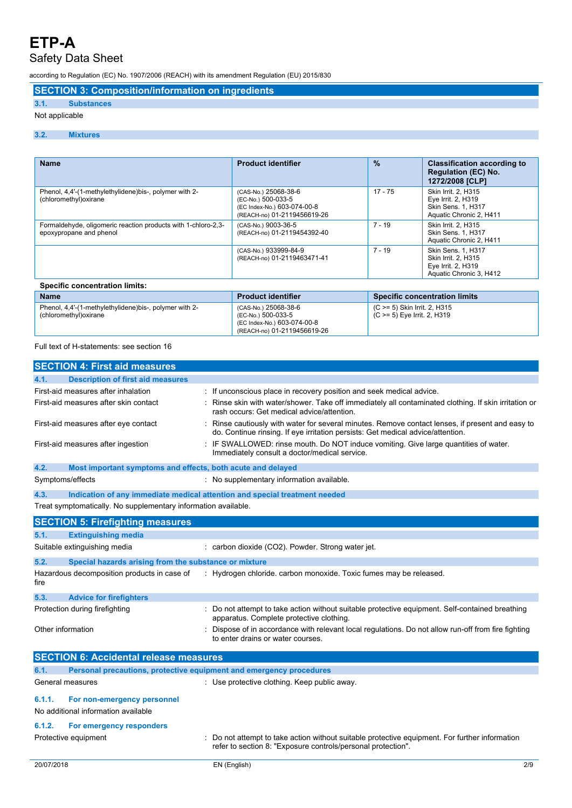## Safety Data Sheet

according to Regulation (EC) No. 1907/2006 (REACH) with its amendment Regulation (EU) 2015/830

## **SECTION 3: Composition/information on ingredients**

## **3.1. Substances**

## Not applicable

## **3.2. Mixtures**

| <b>Name</b>                                                                              | <b>Product identifier</b>                                                                                | $\frac{9}{6}$                                               | <b>Classification according to</b><br><b>Regulation (EC) No.</b><br>1272/2008 [CLP]        |
|------------------------------------------------------------------------------------------|----------------------------------------------------------------------------------------------------------|-------------------------------------------------------------|--------------------------------------------------------------------------------------------|
| Phenol, 4,4'-(1-methylethylidene)bis-, polymer with 2-<br>(chloromethyl) oxirane         | (CAS-No.) 25068-38-6<br>(EC-No.) 500-033-5<br>(EC Index-No.) 603-074-00-8<br>(REACH-no) 01-2119456619-26 | $17 - 75$                                                   | Skin Irrit. 2, H315<br>Eye Irrit. 2, H319<br>Skin Sens. 1, H317<br>Aquatic Chronic 2, H411 |
| Formaldehyde, oligomeric reaction products with 1-chloro-2,3-<br>epoxypropane and phenol | (CAS-No.) 9003-36-5<br>(REACH-no) 01-2119454392-40                                                       | $7 - 19$                                                    | Skin Irrit. 2. H315<br><b>Skin Sens. 1. H317</b><br>Aquatic Chronic 2, H411                |
|                                                                                          | (CAS-No.) 933999-84-9<br>(REACH-no) 01-2119463471-41                                                     | $7 - 19$                                                    | Skin Sens. 1, H317<br>Skin Irrit. 2, H315<br>Eye Irrit. 2, H319<br>Aquatic Chronic 3, H412 |
| <b>Specific concentration limits:</b>                                                    |                                                                                                          |                                                             |                                                                                            |
| <b>Name</b>                                                                              | <b>Product identifier</b>                                                                                |                                                             | <b>Specific concentration limits</b>                                                       |
| Phenol, 4,4'-(1-methylethylidene)bis-, polymer with 2-<br>(chloromethyl) oxirane         | (CAS-No.) 25068-38-6<br>(EC-No.) 500-033-5                                                               | (C >= 5) Skin Irrit. 2, H315<br>(C >= 5) Eye Irrit. 2, H319 |                                                                                            |

(EC Index-No.) 603-074-00-8 (REACH-no) 01-2119456619-26

Full text of H-statements: see section 16

| <b>SECTION 4: First aid measures</b>                                        |                                                                                                                                                                                   |
|-----------------------------------------------------------------------------|-----------------------------------------------------------------------------------------------------------------------------------------------------------------------------------|
| <b>Description of first aid measures</b><br>4.1.                            |                                                                                                                                                                                   |
| First-aid measures after inhalation                                         | If unconscious place in recovery position and seek medical advice.                                                                                                                |
| First-aid measures after skin contact                                       | Rinse skin with water/shower. Take off immediately all contaminated clothing. If skin irritation or<br>rash occurs: Get medical advice/attention.                                 |
| First-aid measures after eye contact                                        | Rinse cautiously with water for several minutes. Remove contact lenses, if present and easy to<br>do. Continue rinsing. If eye irritation persists: Get medical advice/attention. |
| First-aid measures after ingestion                                          | IF SWALLOWED: rinse mouth. Do NOT induce vomiting. Give large quantities of water.<br>Immediately consult a doctor/medical service.                                               |
| 4.2.<br>Most important symptoms and effects, both acute and delayed         |                                                                                                                                                                                   |
| Symptoms/effects                                                            | : No supplementary information available.                                                                                                                                         |
| 4.3.                                                                        | Indication of any immediate medical attention and special treatment needed                                                                                                        |
| Treat symptomatically. No supplementary information available.              |                                                                                                                                                                                   |
| <b>SECTION 5: Firefighting measures</b>                                     |                                                                                                                                                                                   |
| <b>Extinguishing media</b><br>5.1.                                          |                                                                                                                                                                                   |
| Suitable extinguishing media                                                | : carbon dioxide (CO2). Powder. Strong water jet.                                                                                                                                 |
| 5.2.<br>Special hazards arising from the substance or mixture               |                                                                                                                                                                                   |
| Hazardous decomposition products in case of<br>fire                         | : Hydrogen chloride. carbon monoxide. Toxic fumes may be released.                                                                                                                |
| 5.3.<br><b>Advice for firefighters</b>                                      |                                                                                                                                                                                   |
| Protection during firefighting                                              | Do not attempt to take action without suitable protective equipment. Self-contained breathing<br>apparatus. Complete protective clothing.                                         |
| Other information                                                           | Dispose of in accordance with relevant local regulations. Do not allow run-off from fire fighting<br>to enter drains or water courses.                                            |
| <b>SECTION 6: Accidental release measures</b>                               |                                                                                                                                                                                   |
| Personal precautions, protective equipment and emergency procedures<br>6.1. |                                                                                                                                                                                   |
| General measures                                                            | : Use protective clothing. Keep public away.                                                                                                                                      |
| 6.1.1.<br>For non-emergency personnel                                       |                                                                                                                                                                                   |
| No additional information available                                         |                                                                                                                                                                                   |
| 6.1.2.<br>For emergency responders                                          |                                                                                                                                                                                   |
| Protective equipment                                                        | Do not attempt to take action without suitable protective equipment. For further information<br>refer to section 8: "Exposure controls/personal protection".                      |
| 20/07/2018                                                                  | EN (English)<br>2/9                                                                                                                                                               |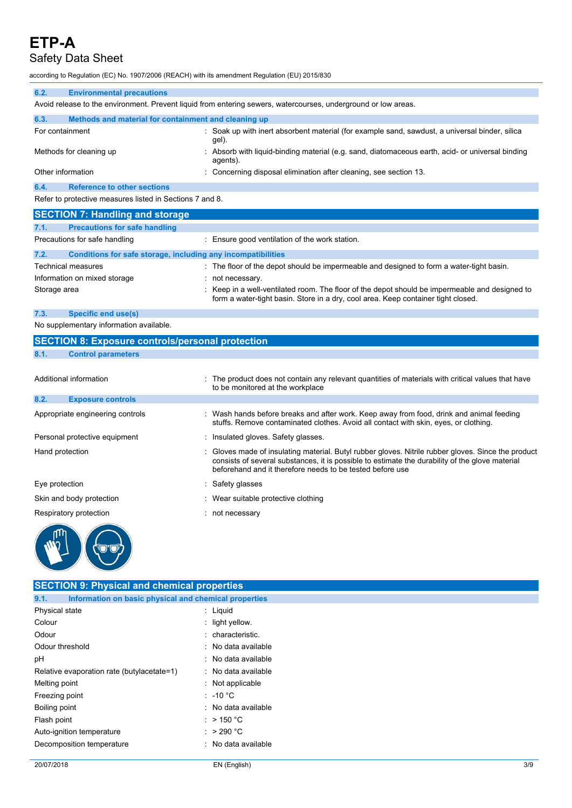# Safety Data Sheet

according to Regulation (EC) No. 1907/2006 (REACH) with its amendment Regulation (EU) 2015/830

| 6.2.                                                     | <b>Environmental precautions</b>                                                                                                      |  |                                                                                                                |  |
|----------------------------------------------------------|---------------------------------------------------------------------------------------------------------------------------------------|--|----------------------------------------------------------------------------------------------------------------|--|
|                                                          |                                                                                                                                       |  | Avoid release to the environment. Prevent liquid from entering sewers, watercourses, underground or low areas. |  |
| 6.3.                                                     | Methods and material for containment and cleaning up                                                                                  |  |                                                                                                                |  |
| For containment                                          |                                                                                                                                       |  | : Soak up with inert absorbent material (for example sand, sawdust, a universal binder, silica<br>gel).        |  |
|                                                          | Absorb with liquid-binding material (e.g. sand, diatomaceous earth, acid- or universal binding<br>Methods for cleaning up<br>agents). |  |                                                                                                                |  |
| Other information                                        |                                                                                                                                       |  | : Concerning disposal elimination after cleaning, see section 13.                                              |  |
| 6.4.                                                     | <b>Reference to other sections</b>                                                                                                    |  |                                                                                                                |  |
| Refer to protective measures listed in Sections 7 and 8. |                                                                                                                                       |  |                                                                                                                |  |

|              | <b>SECTION 7: Handling and storage</b>                       |                                                                                                                                                                                   |
|--------------|--------------------------------------------------------------|-----------------------------------------------------------------------------------------------------------------------------------------------------------------------------------|
| 7.1.         | <b>Precautions for safe handling</b>                         |                                                                                                                                                                                   |
|              | Precautions for safe handling                                | Ensure good ventilation of the work station.                                                                                                                                      |
| 7.2.         | Conditions for safe storage, including any incompatibilities |                                                                                                                                                                                   |
|              | <b>Technical measures</b>                                    | The floor of the depot should be impermeable and designed to form a water-tight basin.                                                                                            |
|              | Information on mixed storage                                 | not necessary.                                                                                                                                                                    |
| Storage area |                                                              | Keep in a well-ventilated room. The floor of the depot should be impermeable and designed to<br>form a water-tight basin. Store in a dry, cool area. Keep container tight closed. |

**7.3. Specific end use(s)**

No supplementary information available.

|                | <b>SECTION 8: Exposure controls/personal protection</b> |                                                                                                                                                                                                                                                                   |
|----------------|---------------------------------------------------------|-------------------------------------------------------------------------------------------------------------------------------------------------------------------------------------------------------------------------------------------------------------------|
| 8.1.           | <b>Control parameters</b>                               |                                                                                                                                                                                                                                                                   |
|                | Additional information                                  | : The product does not contain any relevant quantities of materials with critical values that have<br>to be monitored at the workplace                                                                                                                            |
| 8.2.           | <b>Exposure controls</b>                                |                                                                                                                                                                                                                                                                   |
|                | Appropriate engineering controls                        | : Wash hands before breaks and after work. Keep away from food, drink and animal feeding<br>stuffs. Remove contaminated clothes. Avoid all contact with skin, eyes, or clothing.                                                                                  |
|                | Personal protective equipment                           | : Insulated gloves. Safety glasses.                                                                                                                                                                                                                               |
|                | Hand protection                                         | Gloves made of insulating material. Butyl rubber gloves. Nitrile rubber gloves. Since the product<br>consists of several substances, it is possible to estimate the durability of the glove material<br>beforehand and it therefore needs to be tested before use |
| Eye protection |                                                         | : Safety glasses                                                                                                                                                                                                                                                  |
|                | Skin and body protection                                | : Wear suitable protective clothing                                                                                                                                                                                                                               |
|                | Respiratory protection                                  | : not necessary                                                                                                                                                                                                                                                   |
|                |                                                         |                                                                                                                                                                                                                                                                   |



| <b>SECTION 9: Physical and chemical properties</b>            |                     |  |  |  |
|---------------------------------------------------------------|---------------------|--|--|--|
| Information on basic physical and chemical properties<br>9.1. |                     |  |  |  |
| Physical state                                                | $:$ Liquid          |  |  |  |
| Colour                                                        | $:$ light yellow.   |  |  |  |
| Odour                                                         | : characteristic.   |  |  |  |
| Odour threshold                                               | : No data available |  |  |  |
| рH                                                            | : No data available |  |  |  |
| Relative evaporation rate (butylacetate=1)                    | : No data available |  |  |  |
| Melting point                                                 | : Not applicable    |  |  |  |
| Freezing point                                                | $: -10 °C$          |  |  |  |
| Boiling point                                                 | : No data available |  |  |  |
| Flash point                                                   | : > 150 °C          |  |  |  |
| Auto-ignition temperature                                     | : $>290 °C$         |  |  |  |
| Decomposition temperature                                     | : No data available |  |  |  |
|                                                               |                     |  |  |  |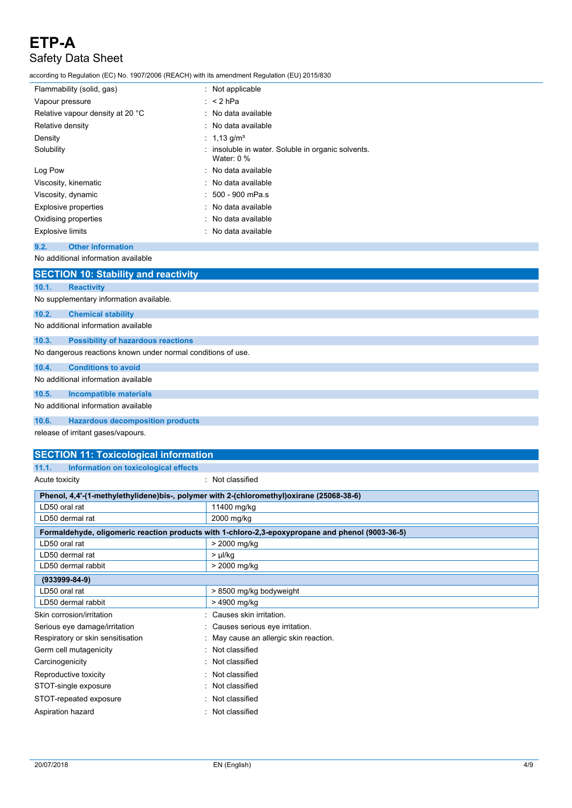according to Regulation (EC) No. 1907/2006 (REACH) with its amendment Regulation (EU) 2015/830

| Flammability (solid, gas)        | $:$ Not applicable                                                 |
|----------------------------------|--------------------------------------------------------------------|
| Vapour pressure                  | $:$ < 2 hPa                                                        |
| Relative vapour density at 20 °C | : No data available                                                |
| Relative density                 | : No data available                                                |
| Density                          | : 1,13 g/m <sup>3</sup>                                            |
| Solubility                       | : insoluble in water. Soluble in organic solvents.<br>Water: $0\%$ |
| Log Pow                          | : No data available                                                |
| Viscosity, kinematic             | : No data available                                                |
| Viscosity, dynamic               | $: 500 - 900$ mPa.s                                                |
| <b>Explosive properties</b>      | : No data available                                                |
| Oxidising properties             | : No data available                                                |
| <b>Explosive limits</b>          | : No data available                                                |

## **9.2. Other information**

No additional information available

|       | <b>SECTION 10: Stability and reactivity</b>                  |
|-------|--------------------------------------------------------------|
| 10.1. | <b>Reactivity</b>                                            |
|       | No supplementary information available.                      |
| 10.2. | <b>Chemical stability</b>                                    |
|       | No additional information available                          |
| 10.3. | <b>Possibility of hazardous reactions</b>                    |
|       | No dangerous reactions known under normal conditions of use. |
| 10.4. | <b>Conditions to avoid</b>                                   |
|       | No additional information available                          |
| 10.5. | <b>Incompatible materials</b>                                |
|       | No additional information available                          |
| 10.6. | <b>Hazardous decomposition products</b>                      |
|       | release of irritant gases/vapours.                           |

## **SECTION 11: Toxicological information 11.1. Information** on **toxicological**

|  |  | al effects |  |  |  |  |  |
|--|--|------------|--|--|--|--|--|
|--|--|------------|--|--|--|--|--|

| Acute toxicity                                                                           | Not classified                                                                                   |
|------------------------------------------------------------------------------------------|--------------------------------------------------------------------------------------------------|
| Phenol, 4,4'-(1-methylethylidene)bis-, polymer with 2-(chloromethyl)oxirane (25068-38-6) |                                                                                                  |
| LD50 oral rat                                                                            | 11400 mg/kg                                                                                      |
| LD50 dermal rat                                                                          | 2000 mg/kg                                                                                       |
|                                                                                          | Formaldehyde, oligomeric reaction products with 1-chloro-2,3-epoxypropane and phenol (9003-36-5) |
| LD50 oral rat                                                                            | > 2000 mg/kg                                                                                     |
| LD50 dermal rat                                                                          | > µl/kg                                                                                          |
| LD50 dermal rabbit                                                                       | > 2000 mg/kg                                                                                     |
| $(933999 - 84 - 9)$                                                                      |                                                                                                  |
| LD50 oral rat                                                                            | > 8500 mg/kg bodyweight                                                                          |
| LD50 dermal rabbit                                                                       | > 4900 mg/kg                                                                                     |
| Skin corrosion/irritation                                                                | Causes skin irritation.                                                                          |
| Serious eye damage/irritation                                                            | Causes serious eye irritation.                                                                   |
| Respiratory or skin sensitisation                                                        | May cause an allergic skin reaction.                                                             |
| Germ cell mutagenicity<br>٠                                                              | Not classified                                                                                   |
| Carcinogenicity                                                                          | Not classified                                                                                   |
| Reproductive toxicity                                                                    | Not classified                                                                                   |
| STOT-single exposure                                                                     | Not classified                                                                                   |
| STOT-repeated exposure                                                                   | Not classified                                                                                   |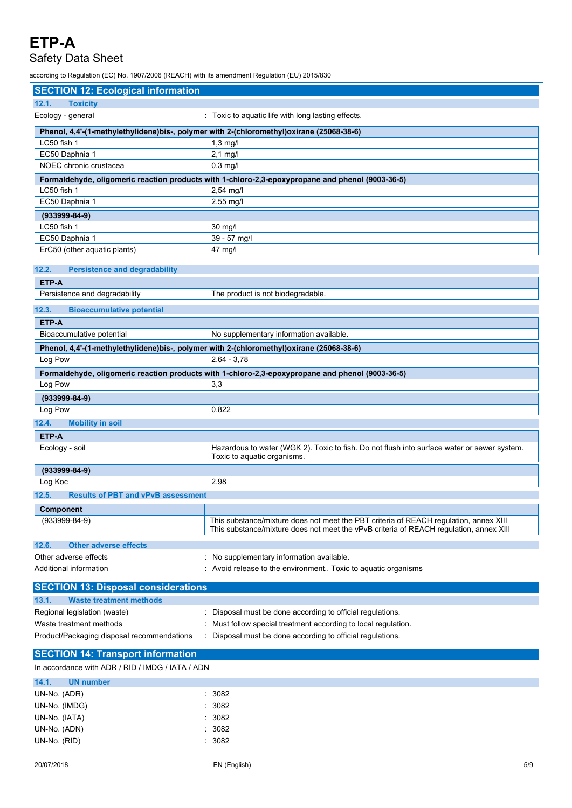## Safety Data Sheet

according to Regulation (EC) No. 1907/2006 (REACH) with its amendment Regulation (EU) 2015/830

| <b>SECTION 12: Ecological information</b>                                                |                                                                                                  |
|------------------------------------------------------------------------------------------|--------------------------------------------------------------------------------------------------|
| 12.1.<br><b>Toxicity</b>                                                                 |                                                                                                  |
| Ecology - general                                                                        | : Toxic to aquatic life with long lasting effects.                                               |
| Phenol, 4,4'-(1-methylethylidene)bis-, polymer with 2-(chloromethyl)oxirane (25068-38-6) |                                                                                                  |
| LC50 fish 1                                                                              | $1,3$ mg/l                                                                                       |
| EC50 Daphnia 1                                                                           | $2,1$ mg/l                                                                                       |
| NOEC chronic crustacea                                                                   | $0,3$ mg/l                                                                                       |
|                                                                                          | Formaldehyde, oligomeric reaction products with 1-chloro-2,3-epoxypropane and phenol (9003-36-5) |
| LC50 fish 1                                                                              | 2,54 mg/l                                                                                        |
| EC50 Daphnia 1                                                                           | 2,55 mg/l                                                                                        |
| $(933999-84-9)$                                                                          |                                                                                                  |
| LC50 fish 1                                                                              | 30 mg/l                                                                                          |
| EC50 Daphnia 1                                                                           | 39 - 57 mg/l                                                                                     |
| ErC50 (other aquatic plants)                                                             | 47 mg/l                                                                                          |
|                                                                                          |                                                                                                  |
| 12.2.<br><b>Persistence and degradability</b>                                            |                                                                                                  |
| ETP-A                                                                                    |                                                                                                  |
| Persistence and degradability                                                            | The product is not biodegradable.                                                                |
| <b>Bioaccumulative potential</b><br>12.3.                                                |                                                                                                  |
| ETP-A                                                                                    |                                                                                                  |
| Bioaccumulative potential                                                                | No supplementary information available.                                                          |
| Phenol, 4,4'-(1-methylethylidene)bis-, polymer with 2-(chloromethyl)oxirane (25068-38-6) |                                                                                                  |
| Log Pow                                                                                  | $2,64 - 3,78$                                                                                    |
|                                                                                          | Formaldehyde, oligomeric reaction products with 1-chloro-2,3-epoxypropane and phenol (9003-36-5) |
| Log Pow                                                                                  | 3,3                                                                                              |
| $(933999-84-9)$                                                                          |                                                                                                  |
| Log Pow                                                                                  | 0,822                                                                                            |
| 12.4.<br><b>Mobility in soil</b>                                                         |                                                                                                  |
| ETP-A                                                                                    |                                                                                                  |
| Ecology - soil                                                                           | Hazardous to water (WGK 2). Toxic to fish. Do not flush into surface water or sewer system.      |
|                                                                                          | Toxic to aquatic organisms.                                                                      |
| $(933999-84-9)$                                                                          |                                                                                                  |
| Log Koc                                                                                  | 2,98                                                                                             |
| 12.5.<br><b>Results of PBT and vPvB assessment</b>                                       |                                                                                                  |
| Component                                                                                |                                                                                                  |
| $(933999-84-9)$                                                                          | This substance/mixture does not meet the PBT criteria of REACH regulation, annex XIII            |
|                                                                                          | This substance/mixture does not meet the vPvB criteria of REACH regulation, annex XIII           |
| <b>Other adverse effects</b><br>12.6.                                                    |                                                                                                  |
| Other adverse effects                                                                    | No supplementary information available.                                                          |
| Additional information                                                                   | Avoid release to the environment Toxic to aquatic organisms                                      |
|                                                                                          |                                                                                                  |
| <b>SECTION 13: Disposal considerations</b>                                               |                                                                                                  |
| 13.1.<br><b>Waste treatment methods</b>                                                  |                                                                                                  |
| Regional legislation (waste)                                                             | Disposal must be done according to official regulations.                                         |
| Waste treatment methods                                                                  | Must follow special treatment according to local regulation.                                     |
| Product/Packaging disposal recommendations                                               | Disposal must be done according to official regulations.                                         |
| <b>SECTION 14: Transport information</b>                                                 |                                                                                                  |
| In accordance with ADR / RID / IMDG / IATA / ADN                                         |                                                                                                  |
| 14.1.<br><b>UN number</b>                                                                |                                                                                                  |
| UN-No. (ADR)                                                                             | 3082                                                                                             |
|                                                                                          | 3082                                                                                             |
| UN-No. (IMDG)                                                                            |                                                                                                  |
| UN-No. (IATA)                                                                            | 3082                                                                                             |
| UN-No. (ADN)                                                                             | 3082                                                                                             |
| UN-No. (RID)                                                                             | : 3082                                                                                           |
| 20/07/2018                                                                               | EN (English)<br>5/9                                                                              |
|                                                                                          |                                                                                                  |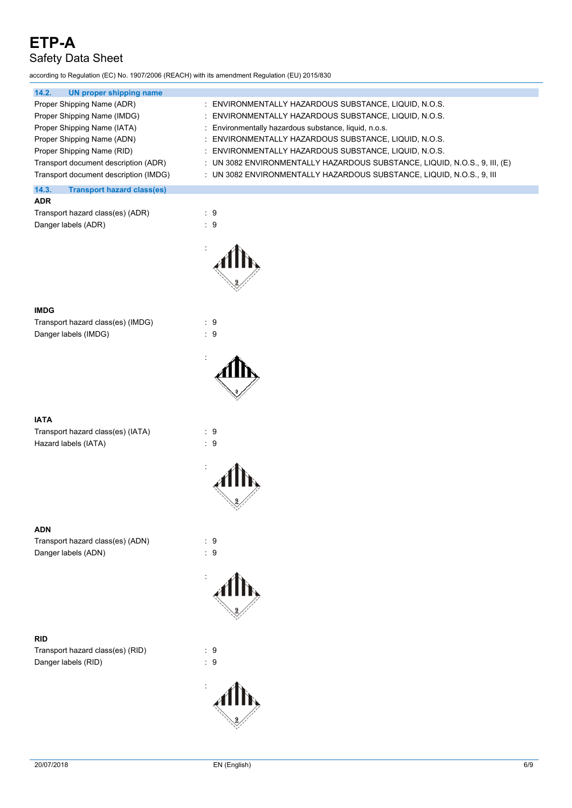according to Regulation (EC) No. 1907/2006 (REACH) with its amendment Regulation (EU) 2015/830

| 14.2.<br>UN proper shipping name           |                                                                              |
|--------------------------------------------|------------------------------------------------------------------------------|
| Proper Shipping Name (ADR)                 | : ENVIRONMENTALLY HAZARDOUS SUBSTANCE, LIQUID, N.O.S.                        |
| Proper Shipping Name (IMDG)                | : ENVIRONMENTALLY HAZARDOUS SUBSTANCE, LIQUID, N.O.S.                        |
| Proper Shipping Name (IATA)                | : Environmentally hazardous substance, liquid, n.o.s.                        |
| Proper Shipping Name (ADN)                 | : ENVIRONMENTALLY HAZARDOUS SUBSTANCE, LIQUID, N.O.S.                        |
| Proper Shipping Name (RID)                 | : ENVIRONMENTALLY HAZARDOUS SUBSTANCE, LIQUID, N.O.S.                        |
| Transport document description (ADR)       | : UN 3082 ENVIRONMENTALLY HAZARDOUS SUBSTANCE, LIQUID, N.O.S., 9, III, $(E)$ |
| Transport document description (IMDG)      | : UN 3082 ENVIRONMENTALLY HAZARDOUS SUBSTANCE, LIQUID, N.O.S., 9, III        |
| 14.3.<br><b>Transport hazard class(es)</b> |                                                                              |
| <b>ADR</b>                                 |                                                                              |

| Transport hazard class(es) (ADR) | : 9 |  |
|----------------------------------|-----|--|
| Danger labels (ADR)              | : 9 |  |



:

#### **IMDG**

Transport hazard class(es) (IMDG) : 9 Danger labels (IMDG)  $\qquad \qquad$  : 9

#### **IATA**

Transport hazard class(es) (IATA) : 9 Hazard labels (IATA) : 9

## **ADN**

Transport hazard class(es) (ADN) : 9 Danger labels (ADN) : 9

#### **RID**

Transport hazard class(es) (RID) : 9 Danger labels (RID) 32 and 32 and 32 and 33 and 33 and 34 and 35 and 36 and 36 and 36 and 36 and 36 and 36 and 36 and 36 and 36 and 36 and 37 and 37 and 37 and 37 and 37 and 37 and 37 and 37 and 37 and 37 and 37 and 37 and





: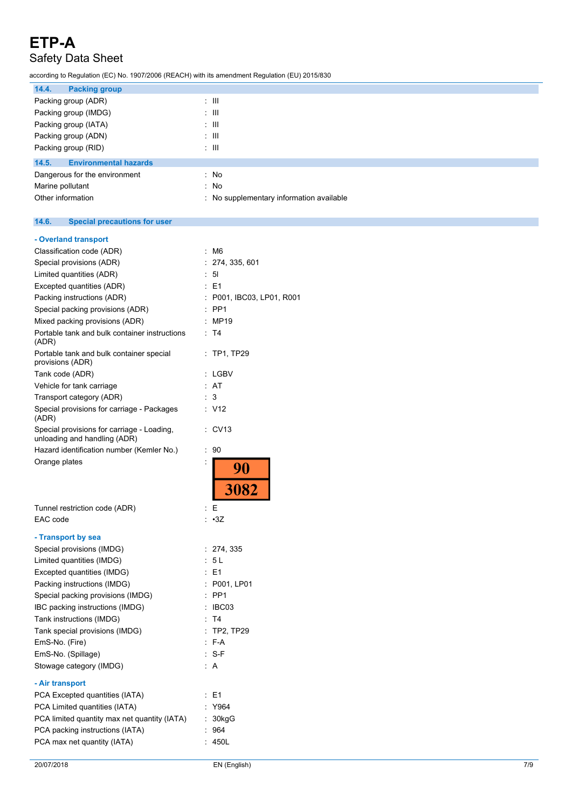# Safety Data Sheet

according to Regulation (EC) No. 1907/2006 (REACH) with its amendment Regulation (EU) 2015/830

| 14.4.<br><b>Packing group</b>         |                                          |
|---------------------------------------|------------------------------------------|
| Packing group (ADR)                   | $\therefore$ $\blacksquare$              |
| Packing group (IMDG)                  | : III                                    |
| Packing group (IATA)                  | : III                                    |
| Packing group (ADN)                   | : III                                    |
| Packing group (RID)                   | : III                                    |
| 14.5.<br><b>Environmental hazards</b> |                                          |
| Dangerous for the environment         | : No                                     |
| Marine pollutant                      | : No                                     |
| Other information                     | : No supplementary information available |

#### **14.6. Special precautions for user**

| - Overland transport                                                       |                            |
|----------------------------------------------------------------------------|----------------------------|
| Classification code (ADR)                                                  | : M6                       |
| Special provisions (ADR)                                                   | 274, 335, 601              |
| Limited quantities (ADR)                                                   | 51                         |
| Excepted quantities (ADR)                                                  | E <sub>1</sub>             |
| Packing instructions (ADR)                                                 | P001, IBC03, LP01, R001    |
| Special packing provisions (ADR)                                           | PP <sub>1</sub>            |
| Mixed packing provisions (ADR)                                             | MP19                       |
| Portable tank and bulk container instructions<br>(ADR)                     | T4                         |
| Portable tank and bulk container special<br>provisions (ADR)               | $:$ TP1, TP29              |
| Tank code (ADR)                                                            | : LGBV                     |
| Vehicle for tank carriage                                                  | : AT                       |
| Transport category (ADR)                                                   | 3                          |
| Special provisions for carriage - Packages<br>(ADR)                        | : V12                      |
| Special provisions for carriage - Loading,<br>unloading and handling (ADR) | : CV13                     |
| Hazard identification number (Kemler No.)                                  | 90<br>$\ddot{\phantom{a}}$ |
| Orange plates                                                              | İ<br>3082                  |
| Tunnel restriction code (ADR)                                              | E                          |
| EAC code                                                                   | : •3Z                      |
|                                                                            |                            |
| - Transport by sea                                                         |                            |
| Special provisions (IMDG)                                                  | : 274, 335                 |
| Limited quantities (IMDG)                                                  | 5 L                        |
| Excepted quantities (IMDG)                                                 | E1                         |
| Packing instructions (IMDG)                                                | : P001, LP01               |
| Special packing provisions (IMDG)                                          | PP <sub>1</sub>            |
| IBC packing instructions (IMDG)                                            | IBC03                      |
| Tank instructions (IMDG)                                                   | T4                         |
| Tank special provisions (IMDG)                                             | <b>TP2, TP29</b>           |
| EmS-No. (Fire)                                                             | F-A                        |
| EmS-No. (Spillage)<br>Stowage category (IMDG)                              | $S-F$<br>: A               |
|                                                                            |                            |
| - Air transport                                                            |                            |
| PCA Excepted quantities (IATA)                                             | E <sub>1</sub>             |
| PCA Limited quantities (IATA)                                              | Y964                       |
| PCA limited quantity max net quantity (IATA)                               | 30kgG                      |
| PCA packing instructions (IATA)                                            | : 964                      |
| PCA max net quantity (IATA)                                                | 450L                       |
|                                                                            |                            |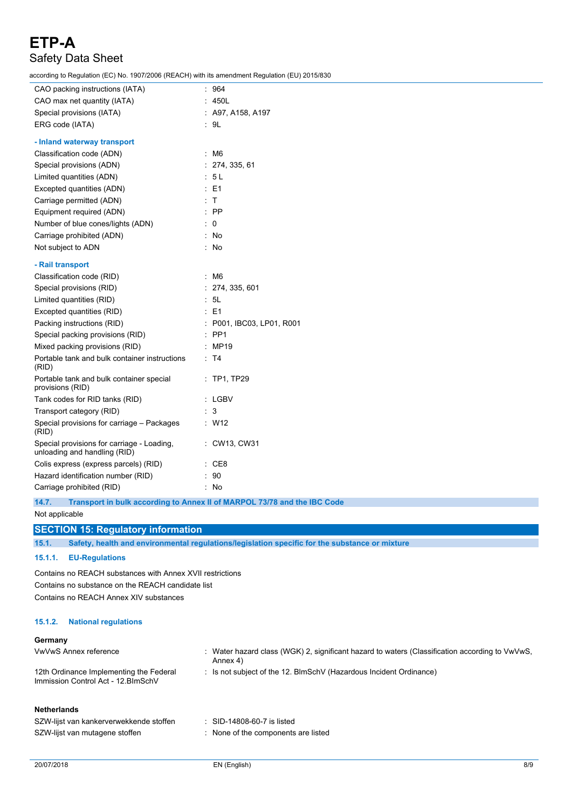according to Regulation (EC) No. 1907/2006 (REACH) with its amendment Regulation (EU) 2015/830

| $10001$ and $10001$ and $10011$ and $10000$ (The TOTT) with the among matrices to galacters (EO) Eq. |                           |
|------------------------------------------------------------------------------------------------------|---------------------------|
| CAO packing instructions (IATA)                                                                      | : 964                     |
| CAO max net quantity (IATA)                                                                          | : 450L                    |
| Special provisions (IATA)                                                                            | : A97, A158, A197         |
| ERG code (IATA)                                                                                      | : 9L                      |
| - Inland waterway transport                                                                          |                           |
| Classification code (ADN)                                                                            | : M6                      |
| Special provisions (ADN)                                                                             | : 274, 335, 61            |
| Limited quantities (ADN)                                                                             | : 5L                      |
| Excepted quantities (ADN)                                                                            | E1                        |
| Carriage permitted (ADN)                                                                             | T<br>÷                    |
| Equipment required (ADN)                                                                             | $:$ PP                    |
| Number of blue cones/lights (ADN)                                                                    | 0                         |
| Carriage prohibited (ADN)                                                                            | : No                      |
| Not subject to ADN                                                                                   | : No                      |
| - Rail transport                                                                                     |                           |
| Classification code (RID)                                                                            | : M6                      |
| Special provisions (RID)                                                                             | : 274, 335, 601           |
| Limited quantities (RID)                                                                             | 5L<br>t.                  |
| Excepted quantities (RID)                                                                            | $\therefore$ E1           |
| Packing instructions (RID)                                                                           | : P001, IBC03, LP01, R001 |
| Special packing provisions (RID)                                                                     | $:$ PP1                   |
| Mixed packing provisions (RID)                                                                       | : MP19                    |
| Portable tank and bulk container instructions<br>(RID)                                               | : T4                      |
| Portable tank and bulk container special<br>provisions (RID)                                         | $:$ TP1, TP29             |
| Tank codes for RID tanks (RID)                                                                       | : LGBV                    |
| Transport category (RID)                                                                             | 3                         |
| Special provisions for carriage - Packages<br>(RID)                                                  | $:$ W12                   |
| Special provisions for carriage - Loading,<br>unloading and handling (RID)                           | CW13, CW31<br>t.          |
| Colis express (express parcels) (RID)                                                                | CE8                       |
| Hazard identification number (RID)                                                                   | 90                        |
| Carriage prohibited (RID)                                                                            | No                        |

**14.7. Transport in bulk according to Annex II of MARPOL 73/78 and the IBC Code**

Not applicable

#### **SECTION 15: Regulatory information**

**15.1. Safety, health and environmental regulations/legislation specific for the substance or mixture**

#### **15.1.1. EU-Regulations**

Contains no REACH substances with Annex XVII restrictions Contains no substance on the REACH candidate list Contains no REACH Annex XIV substances

#### **15.1.2. National regulations**

#### **Germany**

| <b>VwVwS Annex reference</b>                                                   | Water hazard class (WGK) 2, significant hazard to waters (Classification according to VwVwS,<br>Annex 4) |
|--------------------------------------------------------------------------------|----------------------------------------------------------------------------------------------------------|
| 12th Ordinance Implementing the Federal<br>Immission Control Act - 12. BlmSchV | Is not subject of the 12. BlmSchV (Hazardous Incident Ordinance)                                         |
| <b>Netherlands</b>                                                             |                                                                                                          |
| SZW-lijst van kankerverwekkende stoffen                                        | SID-14808-60-7 is listed                                                                                 |
| SZW-lijst van mutagene stoffen                                                 | None of the components are listed                                                                        |